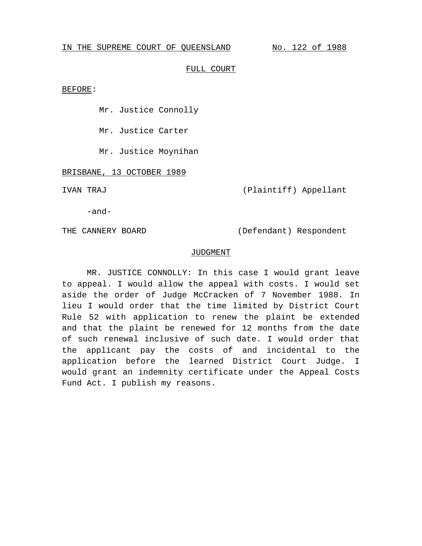#### IN THE SUPREME COURT OF QUEENSLAND No. 122 of 1988

#### FULL COURT

BEFORE:

Mr. Justice Connolly

Mr. Justice Carter

Mr. Justice Moynihan

BRISBANE, 13 OCTOBER 1989

IVAN TRAJ (Plaintiff) Appellant

-and-

THE CANNERY BOARD (Defendant) Respondent

#### JUDGMENT

MR. JUSTICE CONNOLLY: In this case I would grant leave to appeal. I would allow the appeal with costs. I would set aside the order of Judge McCracken of 7 November 1988. In lieu I would order that the time limited by District Court Rule 52 with application to renew the plaint be extended and that the plaint be renewed for 12 months from the date of such renewal inclusive of such date. I would order that the applicant pay the costs of and incidental to the application before the learned District Court Judge. I would grant an indemnity certificate under the Appeal Costs Fund Act. I publish my reasons.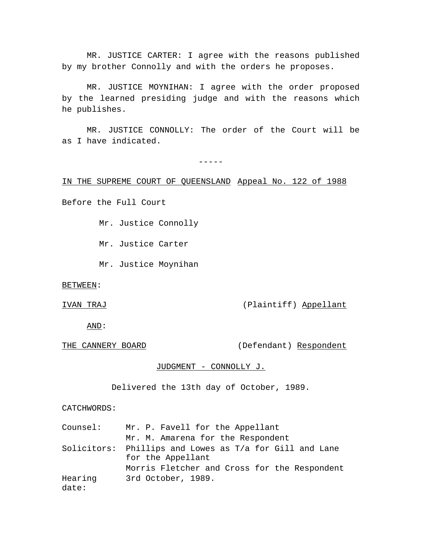MR. JUSTICE CARTER: I agree with the reasons published by my brother Connolly and with the orders he proposes.

MR. JUSTICE MOYNIHAN: I agree with the order proposed by the learned presiding judge and with the reasons which he publishes.

MR. JUSTICE CONNOLLY: The order of the Court will be as I have indicated.

-----

IN THE SUPREME COURT OF QUEENSLAND Appeal No. 122 of 1988

Before the Full Court

Mr. Justice Connolly

Mr. Justice Carter

Mr. Justice Moynihan

BETWEEN:

IVAN TRAJ (Plaintiff) Appellant

AND:

THE CANNERY BOARD (Defendant) Respondent

JUDGMENT - CONNOLLY J.

Delivered the 13th day of October, 1989.

CATCHWORDS:

| Counsel:         | Mr. P. Favell for the Appellant                                              |
|------------------|------------------------------------------------------------------------------|
|                  | Mr. M. Amarena for the Respondent                                            |
|                  | Solicitors: Phillips and Lowes as T/a for Gill and Lane<br>for the Appellant |
|                  | Morris Fletcher and Cross for the Respondent                                 |
| Hearing<br>date: | 3rd October, 1989.                                                           |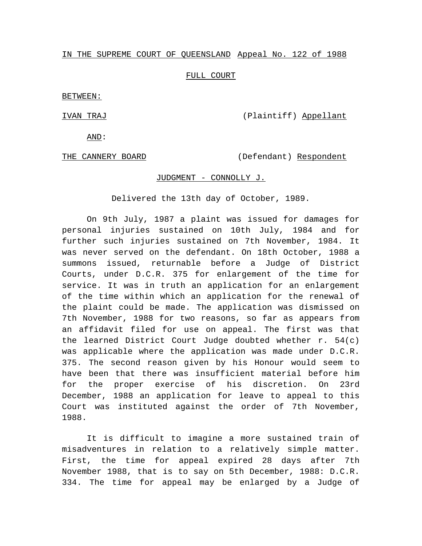## IN THE SUPREME COURT OF QUEENSLAND Appeal No. 122 of 1988

## FULL COURT

BETWEEN:

IVAN TRAJ (Plaintiff) Appellant

AND:

THE CANNERY BOARD (Defendant) Respondent

# JUDGMENT - CONNOLLY J.

Delivered the 13th day of October, 1989.

On 9th July, 1987 a plaint was issued for damages for personal injuries sustained on 10th July, 1984 and for further such injuries sustained on 7th November, 1984. It was never served on the defendant. On 18th October, 1988 a summons issued, returnable before a Judge of District Courts, under D.C.R. 375 for enlargement of the time for service. It was in truth an application for an enlargement of the time within which an application for the renewal of the plaint could be made. The application was dismissed on 7th November, 1988 for two reasons, so far as appears from an affidavit filed for use on appeal. The first was that the learned District Court Judge doubted whether r. 54(c) was applicable where the application was made under D.C.R. 375. The second reason given by his Honour would seem to have been that there was insufficient material before him for the proper exercise of his discretion. On 23rd December, 1988 an application for leave to appeal to this Court was instituted against the order of 7th November, 1988.

It is difficult to imagine a more sustained train of misadventures in relation to a relatively simple matter. First, the time for appeal expired 28 days after 7th November 1988, that is to say on 5th December, 1988: D.C.R. 334. The time for appeal may be enlarged by a Judge of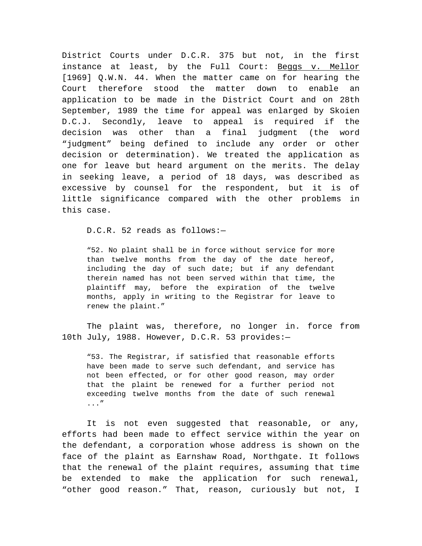District Courts under D.C.R. 375 but not, in the first instance at least, by the Full Court: Beggs v. Mellor [1969] Q.W.N. 44. When the matter came on for hearing the Court therefore stood the matter down to enable an application to be made in the District Court and on 28th September, 1989 the time for appeal was enlarged by Skoien D.C.J. Secondly, leave to appeal is required if the decision was other than a final judgment (the word "judgment" being defined to include any order or other decision or determination). We treated the application as one for leave but heard argument on the merits. The delay in seeking leave, a period of 18 days, was described as excessive by counsel for the respondent, but it is of little significance compared with the other problems in this case.

D.C.R. 52 reads as follows:—

"52. No plaint shall be in force without service for more than twelve months from the day of the date hereof, including the day of such date; but if any defendant therein named has not been served within that time, the plaintiff may, before the expiration of the twelve months, apply in writing to the Registrar for leave to renew the plaint."

The plaint was, therefore, no longer in. force from 10th July, 1988. However, D.C.R. 53 provides:—

"53. The Registrar, if satisfied that reasonable efforts have been made to serve such defendant, and service has not been effected, or for other good reason, may order that the plaint be renewed for a further period not exceeding twelve months from the date of such renewal ..."

It is not even suggested that reasonable, or any, efforts had been made to effect service within the year on the defendant, a corporation whose address is shown on the face of the plaint as Earnshaw Road, Northgate. It follows that the renewal of the plaint requires, assuming that time be extended to make the application for such renewal, "other good reason." That, reason, curiously but not, I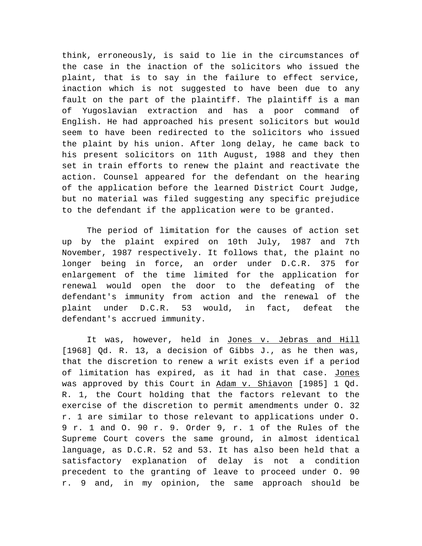think, erroneously, is said to lie in the circumstances of the case in the inaction of the solicitors who issued the plaint, that is to say in the failure to effect service, inaction which is not suggested to have been due to any fault on the part of the plaintiff. The plaintiff is a man of Yugoslavian extraction and has a poor command of English. He had approached his present solicitors but would seem to have been redirected to the solicitors who issued the plaint by his union. After long delay, he came back to his present solicitors on 11th August, 1988 and they then set in train efforts to renew the plaint and reactivate the action. Counsel appeared for the defendant on the hearing of the application before the learned District Court Judge, but no material was filed suggesting any specific prejudice to the defendant if the application were to be granted.

The period of limitation for the causes of action set up by the plaint expired on 10th July, 1987 and 7th November, 1987 respectively. It follows that, the plaint no longer being in force, an order under D.C.R. 375 for enlargement of the time limited for the application for renewal would open the door to the defeating of the defendant's immunity from action and the renewal of the plaint under D.C.R. 53 would, in fact, defeat the defendant's accrued immunity.

It was, however, held in Jones v. Jebras and Hill [1968] Qd. R. 13, a decision of Gibbs J., as he then was, that the discretion to renew a writ exists even if a period of limitation has expired, as it had in that case. Jones was approved by this Court in Adam v. Shiavon [1985] 1 Qd. R. 1, the Court holding that the factors relevant to the exercise of the discretion to permit amendments under O. 32 r. 1 are similar to those relevant to applications under O. 9 r. 1 and O. 90 r. 9. Order 9, r. 1 of the Rules of the Supreme Court covers the same ground, in almost identical language, as D.C.R. 52 and 53. It has also been held that a satisfactory explanation of delay is not a condition precedent to the granting of leave to proceed under O. 90 r. 9 and, in my opinion, the same approach should be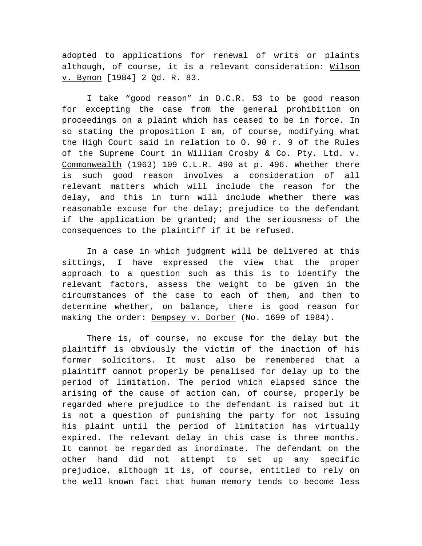adopted to applications for renewal of writs or plaints although, of course, it is a relevant consideration: Wilson v. Bynon [1984] 2 Qd. R. 83.

I take "good reason" in D.C.R. 53 to be good reason for excepting the case from the general prohibition on proceedings on a plaint which has ceased to be in force. In so stating the proposition I am, of course, modifying what the High Court said in relation to O. 90 r. 9 of the Rules of the Supreme Court in William Crosby & Co. Pty. Ltd. v. Commonwealth (1963) 109 C.L.R. 490 at p. 496. Whether there is such good reason involves a consideration of all relevant matters which will include the reason for the delay, and this in turn will include whether there was reasonable excuse for the delay; prejudice to the defendant if the application be granted; and the seriousness of the consequences to the plaintiff if it be refused.

In a case in which judgment will be delivered at this sittings, I have expressed the view that the proper approach to a question such as this is to identify the relevant factors, assess the weight to be given in the circumstances of the case to each of them, and then to determine whether, on balance, there is good reason for making the order: Dempsey v. Dorber (No. 1699 of 1984).

There is, of course, no excuse for the delay but the plaintiff is obviously the victim of the inaction of his former solicitors. It must also be remembered that a plaintiff cannot properly be penalised for delay up to the period of limitation. The period which elapsed since the arising of the cause of action can, of course, properly be regarded where prejudice to the defendant is raised but it is not a question of punishing the party for not issuing his plaint until the period of limitation has virtually expired. The relevant delay in this case is three months. It cannot be regarded as inordinate. The defendant on the other hand did not attempt to set up any specific prejudice, although it is, of course, entitled to rely on the well known fact that human memory tends to become less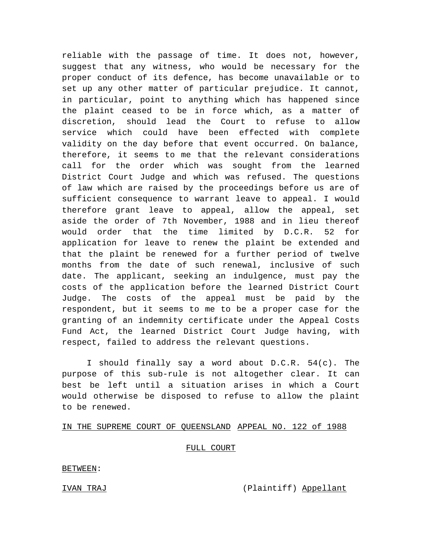reliable with the passage of time. It does not, however, suggest that any witness, who would be necessary for the proper conduct of its defence, has become unavailable or to set up any other matter of particular prejudice. It cannot, in particular, point to anything which has happened since the plaint ceased to be in force which, as a matter of discretion, should lead the Court to refuse to allow service which could have been effected with complete validity on the day before that event occurred. On balance, therefore, it seems to me that the relevant considerations call for the order which was sought from the learned District Court Judge and which was refused. The questions of law which are raised by the proceedings before us are of sufficient consequence to warrant leave to appeal. I would therefore grant leave to appeal, allow the appeal, set aside the order of 7th November, 1988 and in lieu thereof would order that the time limited by D.C.R. 52 for application for leave to renew the plaint be extended and that the plaint be renewed for a further period of twelve months from the date of such renewal, inclusive of such date. The applicant, seeking an indulgence, must pay the costs of the application before the learned District Court Judge. The costs of the appeal must be paid by the respondent, but it seems to me to be a proper case for the granting of an indemnity certificate under the Appeal Costs Fund Act, the learned District Court Judge having, with respect, failed to address the relevant questions.

I should finally say a word about D.C.R. 54(c). The purpose of this sub-rule is not altogether clear. It can best be left until a situation arises in which a Court would otherwise be disposed to refuse to allow the plaint to be renewed.

#### IN THE SUPREME COURT OF QUEENSLAND APPEAL NO. 122 of 1988

## FULL COURT

#### BETWEEN:

IVAN TRAJ (Plaintiff) Appellant